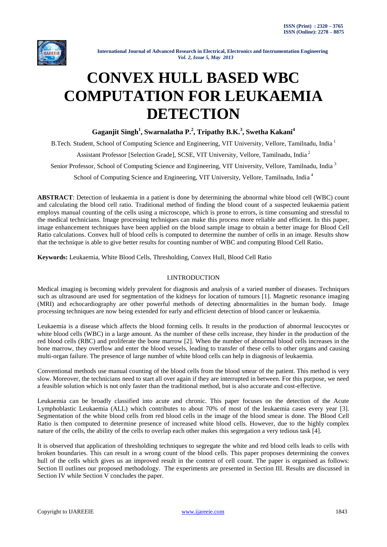

# **CONVEX HULL BASED WBC COMPUTATION FOR LEUKAEMIA DETECTION**

**Gaganjit Singh<sup>1</sup> , Swarnalatha P.<sup>2</sup> , Tripathy B.K.<sup>3</sup> , Swetha Kakani<sup>4</sup>**

B.Tech. Student, School of Computing Science and Engineering, VIT University, Vellore, Tamilnadu, India <sup>1</sup>

Assistant Professor [Selection Grade], SCSE, VIT University, Vellore, Tamilnadu, India <sup>2</sup>

Senior Professor, School of Computing Science and Engineering, VIT University, Vellore, Tamilnadu, India<sup>3</sup>

School of Computing Science and Engineering, VIT University, Vellore, Tamilnadu, India<sup>4</sup>

**ABSTRACT**: Detection of leukaemia in a patient is done by determining the abnormal white blood cell (WBC) count and calculating the blood cell ratio. Traditional method of finding the blood count of a suspected leukaemia patient employs manual counting of the cells using a microscope, which is prone to errors, is time consuming and stressful to the medical technicians. Image processing techniques can make this process more reliable and efficient. In this paper, image enhancement techniques have been applied on the blood sample image to obtain a better image for Blood Cell Ratio calculations. Convex hull of blood cells is computed to determine the number of cells in an image. Results show that the technique is able to give better results for counting number of WBC and computing Blood Cell Ratio**.**

**Keywords:** Leukaemia, White Blood Cells, Thresholding, Convex Hull, Blood Cell Ratio

## I.INTRODUCTION

Medical imaging is becoming widely prevalent for diagnosis and analysis of a varied number of diseases. Techniques such as ultrasound are used for segmentation of the kidneys for location of tumours [1]. Magnetic resonance imaging (MRI) and echocardiography are other powerful methods of detecting abnormalities in the human body. Image processing techniques are now being extended for early and efficient detection of blood cancer or leukaemia.

Leukaemia is a disease which affects the blood forming cells. It results in the production of abnormal leucocytes or white blood cells (WBC) in a large amount. As the number of these cells increase, they hinder in the production of the red blood cells (RBC) and proliferate the bone marrow [2]. When the number of abnormal blood cells increases in the bone marrow, they overflow and enter the blood vessels, leading to transfer of these cells to other organs and causing multi-organ failure. The presence of large number of white blood cells can help in diagnosis of leukaemia.

Conventional methods use manual counting of the blood cells from the blood smear of the patient. This method is very slow. Moreover, the technicians need to start all over again if they are interrupted in between. For this purpose, we need a feasible solution which is not only faster than the traditional method, but is also accurate and cost-effective.

Leukaemia can be broadly classified into acute and chronic. This paper focuses on the detection of the Acute Lymphoblastic Leukaemia (ALL) which contributes to about 70% of most of the leukaemia cases every year [3]. Segmentation of the white blood cells from red blood cells in the image of the blood smear is done. The Blood Cell Ratio is then computed to determine presence of increased white blood cells. However, due to the highly complex nature of the cells, the ability of the cells to overlap each other makes this segregation a very tedious task [4].

It is observed that application of thresholding techniques to segregate the white and red blood cells leads to cells with broken boundaries. This can result in a wrong count of the blood cells. This paper proposes determining the convex hull of the cells which gives us an improved result in the context of cell count. The paper is organised as follows: Section II outlines our proposed methodology. The experiments are presented in Section III. Results are discussed in Section IV while Section V concludes the paper.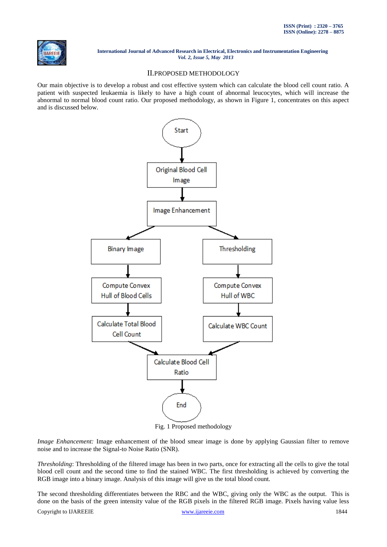

## II.PROPOSED METHODOLOGY

Our main objective is to develop a robust and cost effective system which can calculate the blood cell count ratio. A patient with suspected leukaemia is likely to have a high count of abnormal leucocytes, which will increase the abnormal to normal blood count ratio. Our proposed methodology, as shown in Figure 1, concentrates on this aspect and is discussed below.



Fig. 1 Proposed methodology

*Image Enhancement:* Image enhancement of the blood smear image is done by applying Gaussian filter to remove noise and to increase the Signal-to Noise Ratio (SNR).

*Thresholding*: Thresholding of the filtered image has been in two parts, once for extracting all the cells to give the total blood cell count and the second time to find the stained WBC. The first thresholding is achieved by converting the RGB image into a binary image. Analysis of this image will give us the total blood count.

Copyright to IJAREEIE [www.ijareeie.com](http://www.ijareeie.com/) 1844 The second thresholding differentiates between the RBC and the WBC, giving only the WBC as the output. This is done on the basis of the green intensity value of the RGB pixels in the filtered RGB image. Pixels having value less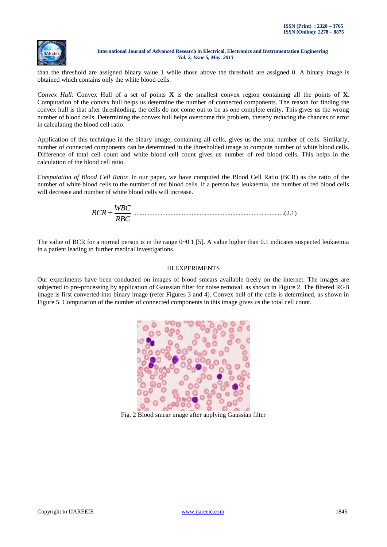

than the threshold are assigned binary value 1 while those above the threshold are assigned 0. A binary image is obtained which contains only the white blood cells.

*Convex Hull*: Convex Hull of a set of points **X** is the smallest convex region containing all the points of **X**. Computation of the convex hull helps us determine the number of connected components. The reason for finding the convex hull is that after threshloding, the cells do not come out to be as one complete entity. This gives us the wrong number of blood cells. Determining the convex hull helps overcome this problem, thereby reducing the chances of error in calculating the blood cell ratio.

Application of this technique in the binary image, containing all cells, gives us the total number of cells. Similarly, number of connected components can be determined in the thresholded image to compute number of white blood cells. Difference of total cell count and white blood cell count gives us number of red blood cells. This helps in the calculation of the blood cell ratio.

*Computation of Blood Cell Ratio*: In our paper, we have computed the Blood Cell Ratio (BCR) as the ratio of the number of white blood cells to the number of red blood cells. If a person has leukaemia, the number of red blood cells will decrease and number of white blood cells will increase.

$$
BCR = \frac{WBC}{RBC}
$$
................. (2.1)

The value of BCR for a normal person is in the range  $0\nu$ -0.1 [5]. A value higher than 0.1 indicates suspected leukaemia in a patient leading to further medical investigations.

## III.EXPERIMENTS

Our experiments have been conducted on images of blood smears available freely on the internet. The images are subjected to pre-processing by application of Gaussian filter for noise removal, as shown in Figure 2. The filtered RGB image is first converted into binary image (refer Figures 3 and 4). Convex hull of the cells is determined, as shown in Figure 5. Computation of the number of connected components in this image gives us the total cell count.



Fig. 2 Blood smear image after applying Gaussian filter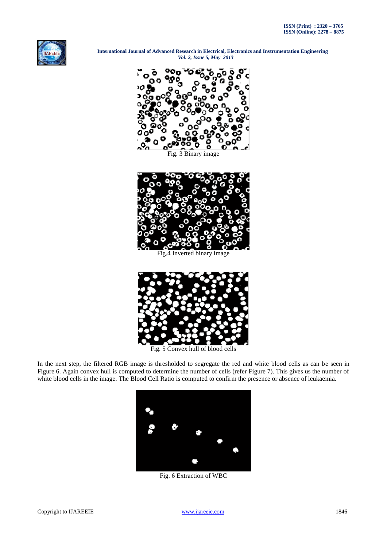



Inverted binary image



Fig. 5 Convex hull of blood cells

In the next step, the filtered RGB image is thresholded to segregate the red and white blood cells as can be seen in Figure 6. Again convex hull is computed to determine the number of cells (refer Figure 7). This gives us the number of white blood cells in the image. The Blood Cell Ratio is computed to confirm the presence or absence of leukaemia.



Fig. 6 Extraction of WBC